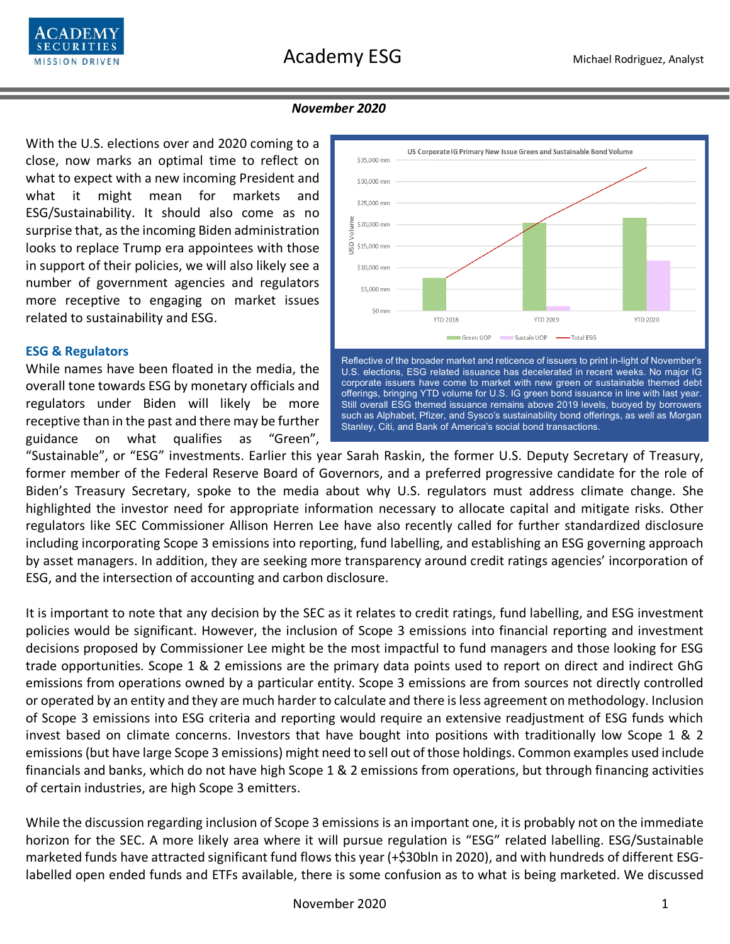

### *November 2020*

With the U.S. elections over and 2020 coming to a close, now marks an optimal time to reflect on what to expect with a new incoming President and what it might mean for markets and ESG/Sustainability. It should also come as no surprise that, as the incoming Biden administration looks to replace Trump era appointees with those in support of their policies, we will also likely see a number of government agencies and regulators more receptive to engaging on market issues related to sustainability and ESG.

#### **ESG & Regulators**

While names have been floated in the media, the overall tone towards ESG by monetary officials and regulators under Biden will likely be more receptive than in the past and there may be further guidance on what qualifies as "Green",



"Sustainable", or "ESG" investments. Earlier this year Sarah Raskin, the former U.S. Deputy Secretary of Treasury, former member of the Federal Reserve Board of Governors, and a preferred progressive candidate for the role of Biden's Treasury Secretary, spoke to the media about why U.S. regulators must address climate change. She highlighted the investor need for appropriate information necessary to allocate capital and mitigate risks. Other regulators like SEC Commissioner Allison Herren Lee have also recently called for further standardized disclosure including incorporating Scope 3 emissions into reporting, fund labelling, and establishing an ESG governing approach by asset managers. In addition, they are seeking more transparency around credit ratings agencies' incorporation of ESG, and the intersection of accounting and carbon disclosure.

It is important to note that any decision by the SEC as it relates to credit ratings, fund labelling, and ESG investment policies would be significant. However, the inclusion of Scope 3 emissions into financial reporting and investment decisions proposed by Commissioner Lee might be the most impactful to fund managers and those looking for ESG trade opportunities. Scope 1 & 2 emissions are the primary data points used to report on direct and indirect GhG emissions from operations owned by a particular entity. Scope 3 emissions are from sources not directly controlled or operated by an entity and they are much harder to calculate and there is less agreement on methodology. Inclusion of Scope 3 emissions into ESG criteria and reporting would require an extensive readjustment of ESG funds which invest based on climate concerns. Investors that have bought into positions with traditionally low Scope 1 & 2 emissions(but have large Scope 3 emissions) might need to sell out of those holdings. Common examples used include financials and banks, which do not have high Scope 1 & 2 emissions from operations, but through financing activities of certain industries, are high Scope 3 emitters.

While the discussion regarding inclusion of Scope 3 emissions is an important one, it is probably not on the immediate horizon for the SEC. A more likely area where it will pursue regulation is "ESG" related labelling. ESG/Sustainable marketed funds have attracted significant fund flows this year (+\$30bln in 2020), and with hundreds of different ESGlabelled open ended funds and ETFs available, there is some confusion as to what is being marketed. We discussed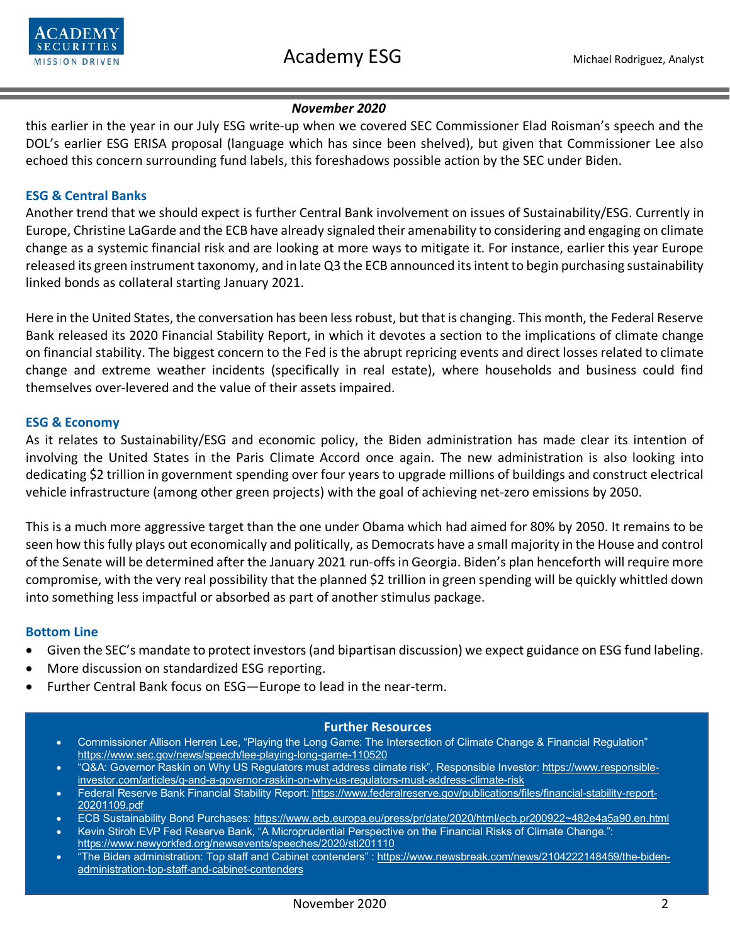

# *November 2020*

this earlier in the year in our July ESG write-up when we covered SEC Commissioner Elad Roisman's speech and the DOL's earlier ESG ERISA proposal (language which has since been shelved), but given that Commissioner Lee also echoed this concern surrounding fund labels, this foreshadows possible action by the SEC under Biden.

# **ESG & Central Banks**

Another trend that we should expect is further Central Bank involvement on issues of Sustainability/ESG. Currently in Europe, Christine LaGarde and the ECB have already signaled their amenability to considering and engaging on climate change as a systemic financial risk and are looking at more ways to mitigate it. For instance, earlier this year Europe released its green instrument taxonomy, and in late Q3 the ECB announced its intent to begin purchasing sustainability linked bonds as collateral starting January 2021.

Here in the United States, the conversation has been less robust, but that is changing. This month, the Federal Reserve Bank released its 2020 Financial Stability Report, in which it devotes a section to the implications of climate change on financial stability. The biggest concern to the Fed is the abrupt repricing events and direct losses related to climate change and extreme weather incidents (specifically in real estate), where households and business could find themselves over-levered and the value of their assets impaired.

### **ESG & Economy**

As it relates to Sustainability/ESG and economic policy, the Biden administration has made clear its intention of involving the United States in the Paris Climate Accord once again. The new administration is also looking into dedicating \$2 trillion in government spending over four years to upgrade millions of buildings and construct electrical vehicle infrastructure (among other green projects) with the goal of achieving net-zero emissions by 2050.

This is a much more aggressive target than the one under Obama which had aimed for 80% by 2050. It remains to be seen how this fully plays out economically and politically, as Democrats have a small majority in the House and control of the Senate will be determined after the January 2021 run-offs in Georgia. Biden's plan henceforth will require more compromise, with the very real possibility that the planned \$2 trillion in green spending will be quickly whittled down into something less impactful or absorbed as part of another stimulus package.

#### **Bottom Line**

- Given the SEC's mandate to protect investors (and bipartisan discussion) we expect guidance on ESG fund labeling.
- More discussion on standardized ESG reporting.
- Further Central Bank focus on ESG-Europe to lead in the near-term.

#### **Further Resources**

- Commissioner Allison Herren Lee, "Playing the Long Game: The Intersection of Climate Change & Financial Regulation" <https://www.sec.gov/news/speech/lee-playing-long-game-110520>
- "Q&A: Governor Raskin on Why US Regulators must address climate risk", Responsible Investor: [https://www.responsible](https://www.responsible-investor.com/articles/q-and-a-governor-raskin-on-why-us-regulators-must-address-climate-risk)[investor.com/articles/q-and-a-governor-raskin-on-why-us-regulators-must-address-climate-risk](https://www.responsible-investor.com/articles/q-and-a-governor-raskin-on-why-us-regulators-must-address-climate-risk)
- Federal Reserve Bank Financial Stability Report: [https://www.federalreserve.gov/publications/files/financial-stability-report-](https://www.federalreserve.gov/publications/files/financial-stability-report-20201109.pdf)[20201109.pdf](https://www.federalreserve.gov/publications/files/financial-stability-report-20201109.pdf)
- ECB Sustainability Bond Purchases: [https://www.ecb.europa.eu/press/pr/date/2020/html/ecb.pr200922~482e4a5a90.en.html](https://www.ecb.europa.eu/press/pr/date/2020/html/ecb.pr200922%7E482e4a5a90.en.html)
- Kevin Stiroh EVP Fed Reserve Bank, "A Microprudential Perspective on the Financial Risks of Climate Change.": <https://www.newyorkfed.org/newsevents/speeches/2020/sti201110>
- "The Biden administration: Top staff and Cabinet contenders" [: https://www.newsbreak.com/news/2104222148459/the-biden](https://www.newsbreak.com/news/2104222148459/the-biden-administration-top-staff-and-cabinet-contenders)[administration-top-staff-and-cabinet-contenders](https://www.newsbreak.com/news/2104222148459/the-biden-administration-top-staff-and-cabinet-contenders)